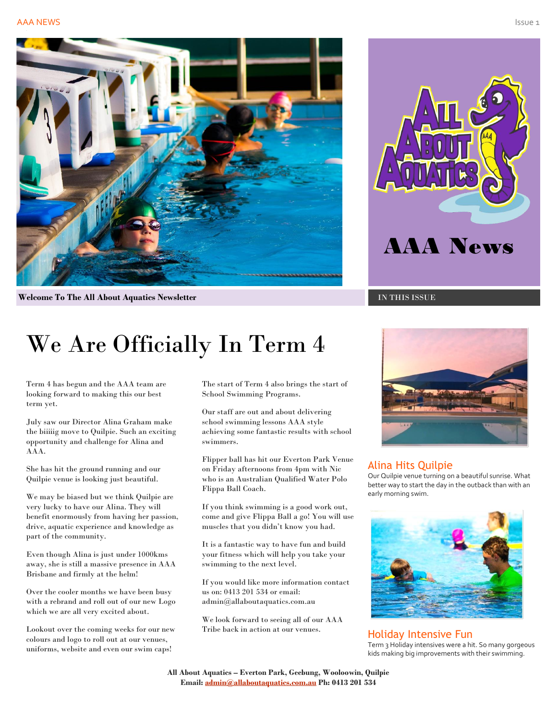

**Welcome To The All About Aquatics Newsletter In the Internal Institute of TN THIS ISSUE** 

# We Are Officially In Term 4

Term 4 has begun and the AAA team are looking forward to making this our best term yet.

July saw our Director Alina Graham make the biiiiig move to Quilpie. Such an exciting opportunity and challenge for Alina and AAA.

She has hit the ground running and our Quilpie venue is looking just beautiful.

We may be biased but we think Quilpie are very lucky to have our Alina. They will benefit enormously from having her passion, drive, aquatic experience and knowledge as part of the community.

Even though Alina is just under 1000kms away, she is still a massive presence in AAA Brisbane and firmly at the helm!

Over the cooler months we have been busy with a rebrand and roll out of our new Logo which we are all very excited about.

Lookout over the coming weeks for our new colours and logo to roll out at our venues, uniforms, website and even our swim caps!

The start of Term 4 also brings the start of School Swimming Programs.

Our staff are out and about delivering school swimming lessons AAA style achieving some fantastic results with school swimmers.

Flipper ball has hit our Everton Park Venue on Friday afternoons from 4pm with Nic who is an Australian Qualified Water Polo Flippa Ball Coach.

If you think swimming is a good work out, come and give Flippa Ball a go! You will use muscles that you didn't know you had.

It is a fantastic way to have fun and build your fitness which will help you take your swimming to the next level.

If you would like more information contact us on: 0413 201 534 or email: admin@allaboutaquatics.com.au

We look forward to seeing all of our AAA Tribe back in action at our venues.





#### Alina Hits Quilpie

Our Quilpie venue turning on a beautiful sunrise. What better way to start the day in the outback than with an early morning swim.



Holiday Intensive Fun Term 3 Holiday intensives were a hit. So many gorgeous kids making big improvements with their swimming.

**All About Aquatics – Everton Park, Geebung, Wooloowin, Quilpie Email[: admin@allaboutaquatics.com.au](mailto:admin@allaboutaquatics.com.au) Ph: 0413 201 534**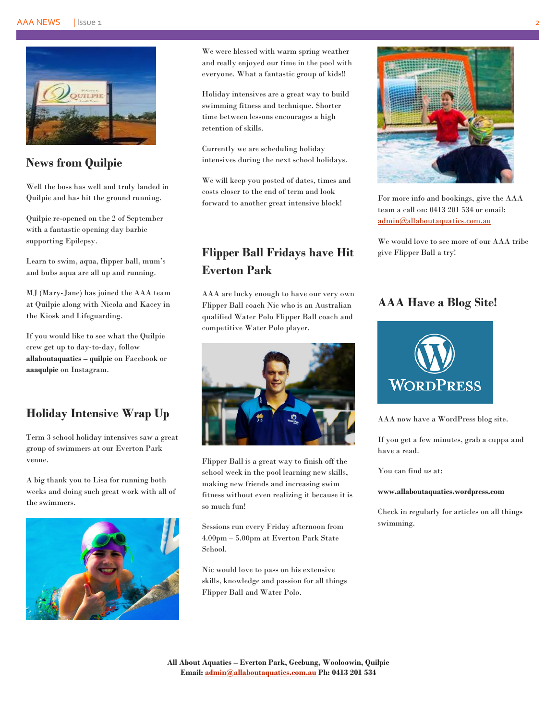

## **News from Quilpie**

Well the boss has well and truly landed in Quilpie and has hit the ground running.

Quilpie re-opened on the 2 of September with a fantastic opening day barbie supporting Epilepsy.

Learn to swim, aqua, flipper ball, mum's and bubs aqua are all up and running.

MJ (Mary-Jane) has joined the AAA team at Quilpie along with Nicola and Kacey in the Kiosk and Lifeguarding.

If you would like to see what the Quilpie crew get up to day-to-day, follow **allaboutaquatics – quilpie** on Facebook or **aaaqulpie** on Instagram.

## **Holiday Intensive Wrap Up**

Term 3 school holiday intensives saw a great group of swimmers at our Everton Park venue.

A big thank you to Lisa for running both weeks and doing such great work with all of the swimmers.



We were blessed with warm spring weather and really enjoyed our time in the pool with everyone. What a fantastic group of kids!!

Holiday intensives are a great way to build swimming fitness and technique. Shorter time between lessons encourages a high retention of skills.

Currently we are scheduling holiday intensives during the next school holidays.

We will keep you posted of dates, times and costs closer to the end of term and look forward to another great intensive block!

# **Flipper Ball Fridays have Hit Everton Park**

AAA are lucky enough to have our very own Flipper Ball coach Nic who is an Australian qualified Water Polo Flipper Ball coach and competitive Water Polo player.



Flipper Ball is a great way to finish off the school week in the pool learning new skills, making new friends and increasing swim fitness without even realizing it because it is so much fun!

Sessions run every Friday afternoon from 4.00pm – 5.00pm at Everton Park State School.

Nic would love to pass on his extensive skills, knowledge and passion for all things Flipper Ball and Water Polo.



For more info and bookings, give the AAA team a call on: 0413 201 534 or email: [admin@allaboutaquatics.com.au](mailto:admin@allaboutaquatics.com.au)

We would love to see more of our AAA tribe give Flipper Ball a try!

## **AAA Have a Blog Site!**



AAA now have a WordPress blog site.

If you get a few minutes, grab a cuppa and have a read.

You can find us at:

#### **www.allaboutaquatics.wordpress.com**

Check in regularly for articles on all things swimming.